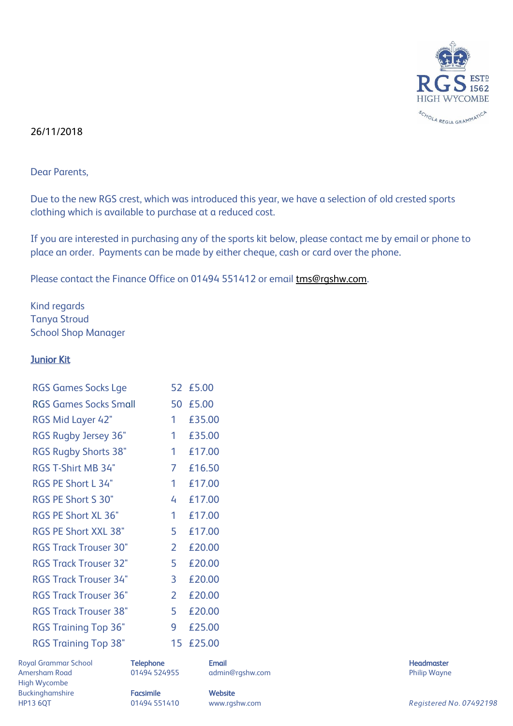

## 26/11/2018

Dear Parents,

Due to the new RGS crest, which was introduced this year, we have a selection of old crested sports clothing which is available to purchase at a reduced cost.

If you are interested in purchasing any of the sports kit below, please contact me by email or phone to place an order. Payments can be made by either cheque, cash or card over the phone.

Please contact the Finance Office on 01494 551412 or email **tms@rgshw.com**.

Kind regards Tanya Stroud School Shop Manager

## Junior Kit

| <b>RGS Games Socks Lge</b>   |                | 52 £5.00 |
|------------------------------|----------------|----------|
| <b>RGS Games Socks Small</b> | 50             | £5.00    |
| RGS Mid Layer 42"            | 1              | £35.00   |
| RGS Rugby Jersey 36"         | 1              | £35.00   |
| <b>RGS Rugby Shorts 38"</b>  | 1              | £17.00   |
| <b>RGS T-Shirt MB 34"</b>    | 7              | £16.50   |
| <b>RGS PE Short L 34"</b>    | 1              | £17.00   |
| <b>RGS PE Short S 30"</b>    | 4              | £17.00   |
| <b>RGS PE Short XL 36"</b>   | 1              | £17.00   |
| <b>RGS PE Short XXL 38"</b>  | 5              | £17.00   |
| <b>RGS Track Trouser 30"</b> | $\overline{2}$ | £20.00   |
| <b>RGS Track Trouser 32"</b> | 5              | £20.00   |
| <b>RGS Track Trouser 34"</b> | 3              | £20.00   |
| <b>RGS Track Trouser 36"</b> | 2              | £20.00   |
| <b>RGS Track Trouser 38"</b> | 5              | £20.00   |
| <b>RGS Training Top 36"</b>  | 9              | £25.00   |
| <b>RGS Training Top 38"</b>  | 15             | £25.00   |
|                              |                |          |

Royal Grammar School **Telephone Email Headmaster Email Headmaster Headmaster Headmaster** Amersham Road **8.2006** 01494 524955 admin@rgshw.com **1.2006** 201494 524955 admin@rgshw.com High Wycombe Buckinghamshire **Facsimile Website** 

HP13 6QT 01494 551410 www.rgshw.com *Registered No. 07492198*